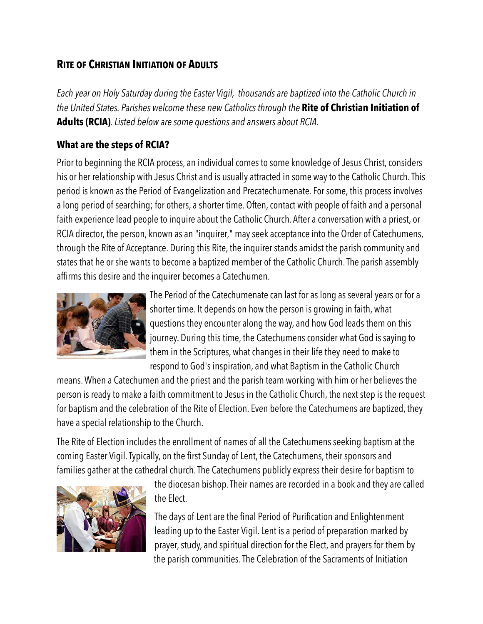## **RITE OF CHRISTIAN INITIATION OF ADULTS**

*Each year on Holy Saturday during the Easter Vigil, thousands are baptized into the Catholic Church in the United States. Parishes welcome these new Catholics through the* **Rite of Christian Initiation of Adults (RCIA)***. Listed below are some questions and answers about RCIA.*

## **What are the steps of RCIA?**

Prior to beginning the RCIA process, an individual comes to some knowledge of Jesus Christ, considers his or her relationship with Jesus Christ and is usually attracted in some way to the Catholic Church. This period is known as the Period of Evangelization and Precatechumenate. For some, this process involves a long period of searching; for others, a shorter time. Often, contact with people of faith and a personal faith experience lead people to inquire about the Catholic Church. After a conversation with a priest, or RCIA director, the person, known as an "inquirer," may seek acceptance into the Order of Catechumens, through the Rite of Acceptance. During this Rite, the inquirer stands amidst the parish community and states that he or she wants to become a baptized member of the Catholic Church. The parish assembly affirms this desire and the inquirer becomes a Catechumen.



The Period of the Catechumenate can last for as long as several years or for a shorter time. It depends on how the person is growing in faith, what questions they encounter along the way, and how God leads them on this journey. During this time, the Catechumens consider what God is saying to them in the Scriptures, what changes in their life they need to make to respond to God's inspiration, and what Baptism in the Catholic Church

means. When a Catechumen and the priest and the parish team working with him or her believes the person is ready to make a faith commitment to Jesus in the Catholic Church, the next step is the request for baptism and the celebration of the Rite of Election. Even before the Catechumens are baptized, they have a special relationship to the Church.

The Rite of Election includes the enrollment of names of all the Catechumens seeking baptism at the coming Easter Vigil. Typically, on the first Sunday of Lent, the Catechumens, their sponsors and families gather at the cathedral church.The Catechumens publicly express their desire for baptism to



the diocesan bishop. Their names are recorded in a book and they are called the Elect.

The days of Lent are the final Period of Purification and Enlightenment leading up to the Easter Vigil. Lent is a period of preparation marked by prayer, study, and spiritual direction for the Elect, and prayers for them by the parish communities. The Celebration of the Sacraments of Initiation